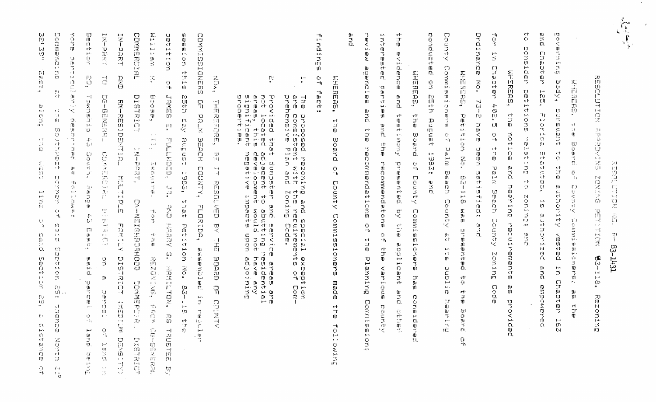扫 ig<br>El  $\mathbb{C}_{\mathbb{F}}$  $\frac{1}{2}$  $\overline{\overline{\overline{G}}}$ 전  $53 - 1431$ 

(

REBOLDTEDN  $\frac{D}{D}$  $\mathcal{L}\mathcal{V}$ ENTAILE  $1\, \mathrm{sJ}$  $\frac{1}{2}$  $\frac{14}{61}$  $T$ 팤  $\sim$  $\sim 1$  $\frac{1}{2}$ Œ 띞  $\mathbf{q}$  .  $1\cdots$  $\boldsymbol{\Omega}$ ۰.  $\frac{20}{10}$ **NON**  $14$ ξ

**GöV**  $\frac{m}{2}$  $\Box$ ËI. Fulde.  $\Omega$ io<br>M  $\Gamma$ ΞĖ ш Ë.  $\frac{15}{10}$ JU. Ч. 雪  $\frac{\mathfrak{m}}{2}$  $i$ Kaaq WHERE ਾਰ<br>ਹੈ 長山 ٠Ľ. - 12 五山 c1.  $rac{1}{2}$  $\mathcal{W}$  $\sim$  $\mathbf{t} \mathbf{m}^{\mathrm{t}}$  .  $\mathbf{C}$  $\mathbf{1} \rightarrow \mathbf{1}$ 高明 O.  $ct$ **AUENE** ÷y.  $\overline{\mathbb{U}}$  $\bar{\mathbf{u}}$  $\mathbf{1}^{(1)}$  $\epsilon_{\rm F}$  $\mathbf{C}$ けいせつ Ń. ņ,  $\sqrt{2}$  $\mathbf{u}$ gi.<br>Ch ich. रोंगे  $\mathbb{C}^{\mathbb{C}}$  $\mathbf{I}$  -t .  $\frac{91}{ct}$ Ó.  $\frac{1}{92}$  $\mathbf{C}^{\dagger}$  $\frac{\sqrt{2}}{8}$  $\frac{\Box}{\rm 10}$  $\mathbf{C}$  $\rightarrow$ c tr 眉 O.  $\mathfrak{g}$  $\mathbf{u}$  $\Gamma$  $\frac{c}{d}$ O. ECHON  $\frac{1}{2}$  $_{1-4}$  .  $\frac{5}{7}$ IJ. ТĤ.  $\mathcal{L}_{\mathcal{A}}$  $\frac{1}{10}$  $\mathbf{u}$  $\left\langle \cdot , \cdot \right\rangle$ **Comet**  $\frac{1}{\epsilon}$ **ct**  $\sim$  0.10  $^{\circ}$  $\mathcal{L}_{\mathcal{L}_{\mathcal{L}}}$ Ë.  $\frac{10}{10}$  $\frac{\Omega}{\gamma}$  $\sum_{i=1}^N$ المقاو iň.  $\mathfrak{m}$ H. ict.  $\frac{\mathfrak{m}}{\mathfrak{m}}$ n. – 四<br>Ct. û, りんきんじ g<br>3  $\sim$  $\mathbb Z$ Đ.  $\frac{C1}{2}$ чĖ,  $\mathfrak{m}$  $\frac{1}{12}$  $\mathbf{u}$  $\overline{u}$ ព្រ  $\ddot{ }$ **OWEN** in<br>T  $ct$  $\Box$ r m. 甫  $\sim$  $\rm H$  $\Omega$  $\mathbb{L}A$ 

ct

무  $-1$  $\Omega$ Ω. Ť.  $\mathbf{1.3}$  . さかさり  $\mathbf{1} \cdot \mathbf{1}$  . 3  $\Gamma$  ).  $\overline{\mathbf{u}}$ ÷г 金 Ŵ.  $\widetilde{\widetilde{\mathbf{e}}}$ **FIRED**  $\mathbf U$ ct. ID. Ť. -iő  $\overline{\phantom{0}}$ Ţ.  $\ddot{\phantom{1}}$ ÷. S Ñ  $\mathbb{C}^4$  $\mathbf{E}$  $\frac{1}{4}$  $\mathbb{F}$  $\mathbf{U}$  $\mathbf{9}$  $\mathbf{C}$  $\mathfrak{I}$  $\,<$ ੌ।<br>ਰਾ пj  $-t_1$  $\mathbf{H}^{(1)}$  $\mathcal{C}\mathcal{V}$ Ü **ののこと**  $\mathbb{E} \mathbf{F}$  $\frac{\Omega}{\Omega}$ m aria<br>Bi  $\mathbf{U}$  $\mathbf{D}$  $\overline{\mathbf{u}}$  $\frac{m}{\varepsilon r}$  $1 - 1$  $\Xi$ ្សា  $\mathbf{H}$  $1\sigma$  $10 \overline{0}$  $\frac{10}{2}$  $-1<sub>1</sub>$  $\overline{\mathbf{u}}$  $\pm 0.1$  $\frac{1}{2}$ i<br>Jur  $\mathbf{u}$ ū  $\sim$   $\sigma$   $\alpha$  $\Box$  $\frac{m}{D}$ iner<br>B nacht  $\bar{\epsilon}$ r. ≺ .<br>۳ TD.  $\mathcal{F}(\mathcal{A})$ anin  $\frac{5}{10}$  $ct$  $\mathbf{H}$ ĮП  $\Box$  $\mathbf{H}$  $\overline{5}$ ្សា  $\overline{\mathbf{u}}$  $\frac{10}{2}$ Ó ₹  $\mathbb{H}^{\mathfrak{g}}$  $\Omega$ . m ñ.

D.  $\Omega$ ġ<br>3  $\mathbb{Q}$  $\bar{\mathbb{C}}$ ā. E,  $\frac{c}{D}$  $\prec$  $ct$  $\mathbf{D}$  $\Gamma$ ñ. **DERET** 三五 9<br>3 河马  $\mathbf{H}$ UI. いいけつ  $\mathfrak{m}$ ဖ္  $\frac{9}{10}$  $\mathbf T$  $\frac{D}{\epsilon T}$ ÷  $\Pi$  $10^{\circ}$  $\mathcal{C}$  $\mathbf{p}$  .  $\mathbb{C}^{\mathsf{r}}$  $\frac{1}{4}$  $\epsilon$  h  $-1$  $\mathbf{1}^{1,2}$  $\frac{\Theta}{\Theta}$ Ù  $\mathfrak{t}$   $\rightarrow$  $\Omega$ ׇׇ֢֡֡׆<br>֛֛֦֢֦֦֦֦֦֦֦֦֦֦֦֦֦֦֦֦֦֦֦֦֦֦֚֘֘֘֘֘֘֘֘<br>֩֘֩֩׆׆  $\overline{6}$  $\gamma_{\rm mod}$  $\Xi$ الحيآ  $121$ in e  $\overline{\mathbf{n}}$  $\omega$  $\frac{1}{12}$  $\mathfrak{m}$  $\left\{ \cdot \right\}$  $\overline{D}$  $\mathbf{F}$  $\mathbb{U}$  $\sim$  $\mathbf{F}^{(A)}$  $\Box$  $\mathbf{D}$ O.  $rac{1}{4}$ **Waa**  $\leq$ 夹  $\mathfrak{g}_1$ ch. m, IJ) aue<sup>s</sup>  $\mathbf{H}$  .  $\epsilon$  ):  $\mathbb{I} \mathsf{H}$ 四口 ិត<br>ក្  $\mathbf{d}$  $\frac{1}{11}$  $\mathbf{O}$  $\Omega$  $\mathbf{r}^+$ Þ  $\mathbb{L} \mathbf{r}$  $\overline{p}$ fU.  $\frac{10}{7}$ ្យា<br>ប្ ्र  $\mathbf{g},\mathbf{a}$  ,  $\mathcal{C}^{\mathcal{C}}$ 921 Ď. O  $-{\bf h}$ 

ŋ,  $\mathcal{L}_{\mathcal{A}}$ ρ. **ct** ă.  $\overline{2}$ 高  $\mathbf{T}$ m  $\frac{1}{\sqrt{2}}$  $1.1.$ m  $\mathbf{m}$ Ξ Ŵ  $\mathcal{C}$ тă.  $\mathbf{u}$  $\Omega$ Ω.  $ct$ igenc ことに  $\mathfrak{m}$  $\frac{5}{1}$ ň. Тũ ď  $\mathbf{\bar{D}}$ יב.<br>ח E 44E  $\mathbb{H}^4$ and<br>D  $\begin{bmatrix} D \\ D \\ C \end{bmatrix}$  $\mathfrak n$ ιñ  $\frac{9}{3}$  $\mathfrak n$  $ct$  $\mathfrak{m}$ ct ō.  $\Pi$  $\frac{\Box}{\eta}$ arid<br>S  $\mathbf{m}$ сŀ.  $-$ Boar D.  $\mathbb{H}^d$  . **Kuow**  $\overline{10}$  $\epsilon\tau$  $\frac{1}{p}$  $\gamma$  $\mathbf{u}$ ó.  $\Omega$  $\mathcal{C}_{\mathbf{A}}$ ਪ੍ਰਾ  $\mathbf{U}$ phremati ŋ  $-1$ ŋ. -Q) ູທັ  $\Box$ prinerio  $\frac{1}{2}$ auno  $\frac{1}{\tau}$  $\Pi$ Ō.  $\mathbf{H}$  $\,<\,$ **Org**  $\mathfrak{v}$  $\tilde{t}$  $\leq$  $\Gamma$ inme.  $\mathbf{C}$  $\bullet$ πī  $-1$  $\mathbb{T}$  $\mathcal{L}_{\text{H}}$  $\mathbf C$  $\mathfrak n$ ្យ<br>ព្រ cr  $\cdot$  +  $\mathbb{I}$ ŋ, ъ. **DNG**  $\overline{\mathfrak{m}}$  $\frac{c}{d}$  $\cup$ 무  $\mathbf U$ ىسە . سو Ť **BITE**  $\Omega$ Narious Ŵ  $2119$  $\mathbf{r}$ **Dutil**  $\bar{u}$ in.  $\mathbf{u}$  $\frac{1}{5}$  $\Omega$  $\Omega$  $\frac{0}{2}$ cmm<sub>1</sub>  $\Gamma$ drube  $\frac{\Omega}{\Omega}$  $\bar{w}$  $\mathbf{1.4} \cdot$  $\square$  $\Omega$  $\mathbf{u}$  $\bar{\mathfrak{m}}$ 쁮  $\mathbf{u}$ K ÷.  $\mathbb{H}^{\mathcal{A}}$ 1D  $\frac{0}{3}$ Ù.  $4.57$ 

 $\mathbf{L}$  $\mathbb{R}$ ā.  $\left\langle \cdot,\cdot\right\rangle$  .  $\mathbb{R}^2$ ាប៊ុ<br>ព្រ  $\bullet$  $\sum_{i=1}^{n}$  $\neg$ <sub>1</sub> πï  $-t<sub>1</sub>$ 꼮  $\begin{bmatrix} 0 \\ 1 \\ -1 \end{bmatrix}$  $\frac{1}{0}$  $\sim$  $\mathbf{r}$  is  $\Box$  $\bar{p}$  $1\,\mathrm{T}$ Ő 可以口  $\mathbf C$  $-\mathbf{t}_1$  $\Gamma$ Ö wherey  $\Gamma$ Гишо  $\mathfrak{m}$ آڪٽوبر ج  $\mathbb{R}$ あいる  $\Xi$ ia<br>G  $\mathfrak{g}$  $ct$  $\mathcal{F}$  $\mathbf{u}$  $\mathcal{A}_{\rm I}$  $\mathbf C$  $\frac{1}{2}$  and  $\mathbf{y}$  ,  $\mathbf{y}$  $\tilde{\mathbf{U}}$ **Guim** 

 $-1$ 

- $\mathfrak{t}^{\mathfrak{m}}$  $\begin{array}{cc} \mathbf{u} & \mathbf{w} \\ \mathbf{v} & \mathbf{w} \end{array}$ 로 i avisnad<br>re consistate<br>na pronsive f nd<br>Propinsi<br>Propinsi ezoning and sp<br>b with the requ<br>an and Zoning C special<br>Juiremer<br>Code  $\frac{3}{4}$  o  $\frac{5}{9}$ οώ ੀ ਹੋ<br>ਹ Fon<br>Dom
- ŢО. Provided that<br>areas, this c<br>areas, this c<br>shoperties.<br>oroperties. at dum;<br>advelor<br>advelor: mpster and service<br>cent to abutting r<br>iopment would not<br>tive impacts upon ce area<br>avante<br>avante<br>adjo: ireart<br>ident ia.<br>P any<br>K  $\mapsto \mathfrak{g}$ க  $\mathfrak{g}_1$ 亏  $\mapsto$  iii

**HOIR**  $\Gamma$  $\mathbf{U}$  $\Xi$  $\mathbf{H}$  $\Omega$  $\boldsymbol{\Sigma}$ U - IR  $\Gamma$  $\overline{1}$ **Divine**  $\overline{\mathbf{n}}$ 口词  $\overline{1}$ ΦŪ Duamario -fii  $\sim 4$  $\mathbf{u}$ κt m n,  $\mathbb{C}\mathbb{P}$  $\mathbf{\tilde{U}}$ TJ.  $\mathbf{H}$  $\pm$  2 . -in 콬  $\frac{1}{3}$  $\overline{11}$  $\mathbf{P}^{\mathbf{t}}$  $\tau\hbar$  $\mathbf{F}$  $\mathbf{p},\mathbf{r}$  .  $\frac{20}{25}$ ğ,  $\Box$  $\mathbf{C}$  $\cup$ 굥  $\mathbf{1} \mathbf{1}$  .  $\frac{\Omega}{\gamma}$ 3  $-1$  $\frac{\Omega}{\Delta}$ τó  $1 - 4$  $\mathbb{F}^{\mathbb{Z}}$  $\ddagger \cdot \cdot \cdot$  ( **UNERS**  $\sim$  $-1$  $\frac{10}{10}$  $\frac{d}{dt}$ äэ.  $\frac{D}{G}$ ξÜ,  $\mathbb{R}^2$  :  $\Gamma$  $\vec{c}$ **KOW** I) ់បា  $\mathbf{C}$  $\mathbb{C}$  $\sim$  $\bar{h}$  $1\Omega$  $\frac{6t}{15}$  $\sim$  $\frac{\alpha}{\gamma}$  $\Box$ Ţ  $\Gamma$  $-1$ U  $\mathsf{C}_{-1}$  $\frac{\Box}{\Box}$ ο<br>Σ3  $EM \frac{6}{9}$ 五円の  $\Omega$  $\leftarrow$ 꽋  $\cdot$ -- $\mathbf{1}$ ហ  $\mathbb{I}$ 计字  $\prec$ បា  $-4$ lit<br>Fil  $\mathbb{D}^n$  $\overline{11}$ नि  $\mathcal{M}$  $\overline{J}$ **ALLA** 49 굠 刀  $\mathbf{H}$ D. - SF **NERSH**  $\sqrt{2}$ .,  $17.$ -í ī 93  $\mathbb{R}^{2n}$  $\Gamma$  $17$  $\stackrel{\text{m}}{\leq}$ ंगं BIDENT  $\begin{array}{c}\n\overline{0} \\
\overline{1} \\
\overline{2}\n\end{array}$ ාර  $\mathbf{1}\mathbf{1}$  $\mathbf{C}$  $-4$  $\mathbb{Q}$  $\pm$   $\pm$  $\bar{a}$ 冒 合計  $4^\circ$  $\leftarrow$  $\mathbb D$ ņд **HODE**  $\pm 4$  $\mathcal{L}(\cdot)$  $\sim 10$  $\frac{\overline{12}}{111}$  $\mathbf{r}$  $\mathcal{A}^{\mathrm{in}}$  $\mathbb{C}1$  $\mathbb{Z}^n$  $1 - 1$  $\bar{a}$ i<br>Sid<br>Di  $\mathcal{L}$  $\mathcal{U}$  $\Box$  $\frac{1}{12}$ Z  $\overline{\tilde{u}}$  $\Box$  $\Pi$ **DIAME** Ю.  $|11|$  $\overline{111}$ 듞  $\tau$ -494 – ch Ō.  $\beta$  P  $\mathbf{u}$ Ю  $\Omega$ athos  $1 - 1$ ALIMID. ЙL 켴  $\mathcal{N}$  $\mathbf{1}^{n-1}$  $\frac{1}{\sqrt{2}}$  $\overline{1}$ 중  $\dot{\mathbb{U}}$ -9  $\mathcal{H}_{1}$ C.  $\frac{1}{\sqrt{2}}$ Æ,  $\frac{1}{1-\epsilon}$  $\mathbb{T}^n_+$  $r_{\rightarrow}$  $\left\vert \left\langle \cdot ,\cdot \right\rangle \right\vert$  $\mathbf{L}$  :  $\tilde{\Gamma}$  $\frac{30}{25}$  $\mathbb{T}$  $\cdot \cdot$  $\mathbf{f}_1$  $\mathbb{R}^{\mathbf{j}}$ -UJ  $\frac{\tilde{M}}{3}$  $\sim$  $\frac{1}{2}$  of **CLVED**  $\frac{\Omega}{\Sigma}$ нīз 목  $\Omega$  $\frac{D}{G}$ Ż  $\frac{1}{L}$  $\mathbf{H}$  $\mathbb{C}^{\mathsf{T}}$ τũ tu. ांग Ŵ.  $\mathcal{L}$ -i  $\mathbf{H}_1$ 之<br>四  $\frac{1}{2}$  $\{\cdot,\cdot\}$ ミ  $\mathbf{c}$  $\mathcal{A}_i$  $\pm$ a **AN**  $\mathbf{C}$  $\Omega$  $\mathbf{T}$ HARRY  $\mathbb{I}^{\mathbb{U}}_{\mathrm{cl}}$  $\lesssim$  $1\Omega$  $-4$  $\mathbf{H}$  $H - 1$  $|H|$ iaza. TIME **GERORHOOD** -19  $\mathfrak{g}_1$  $\frac{d}{d\theta}$  $\sim 10$  $\mathbb{C}\mathbb{L}$  $\mathbf{111}$  $\frac{1}{2}$  ,  $\frac{1}{2}$  , 言  $ct$  $\overline{a}$  $\Omega$  $\ddot{\phantom{a}}$ чÇ . سو  $\mathbf{p}$ ព្វ  $\mathbf{H}$ ğ  $\mathbf{m}$  $\frac{\mathfrak{O}}{\mathfrak{O}}$ -Ō. IJ)  $U$  $\frac{13}{11}$  $\overline{1}$ **BOARD** ieniù  $\mathcal{C}$  $\frac{m}{L}$  $\mapsto$  $\sum_{i=1}^{N}$  $\overline{u}$  $\sim 10$  $\mathbb{Z}$ HAMILTON,  $\mathcal{L}_{\mathcal{F}}$  $\alpha$  $-1$ Б. **KING**  $\mathbf{B}$  $\boldsymbol{\mathcal{F}}$  $\overline{\phantom{a}}$  $\Box$  $\mathbf{u}$  $\mathbf{f}$  $10\%$  $\frac{\Omega}{\Omega}$  $\pm 0$ **Diviri**  $\frac{9}{7}$  $\Omega$ ω Ō. لىة -U) - -- 1  $\left\lfloor \cdot \right\rfloor$  $\overline{D}$  $\frac{1}{3}$  $\pm\pi$  $\mathbf{g}_{\mathbf{m}}$  .  $\mathbf{1}$ ïЦ  $\begin{array}{c} \widehat{\mathbb{H}} \ \widehat{\mathbb{H}} \end{array}$ 3  $\Box$  $\sim$  $\begin{bmatrix} 73 \\ 11 \\ 11 \\ 10 \end{bmatrix}$  $\mathcal{T}$ -f3  $-ct$ **Alking** المنجرة المسيخ  $\mathbb{L}\Gamma$  $\mathbf{I}^{\mathrm{T}}_{\mathrm{B}}$  $\mathbb{C}$  $\overline{\mathcal{L}}$  $\vec{c}$  $\overline{u}$ កា  $\mathcal{L}$  $\mathbf{1}$  $\mathbf{D}$  $\overline{r}$   $\overline{r}$  $\overline{\mathcal{L}}$  $\frac{1}{2}$  and  $\mathcal{R}$  $\omega$  $\mathbf{d}$ ನ  $\frac{1}{3}$ - 13 "J  $\mathbf{u}$  $\mathbf{C}$  $\Gamma$  $-1$  $\mathbf{f}_2$  $\mathbb{R}^d$  $\frac{21}{10}$  $\Omega$  $\sim 1$  $\mathbb{P}$  $\frac{1}{2}$  $\mathbb{R}^2$ 3. BENEQ to 1 ō.  $\mathbf{C}$  $\sim$  $\sim 4$ 留  $\mathbf{H}$  $\Omega$  $-1$ Ĥg.  $-4$  $\frac{2}{11}$  $\mathbb{I}^n$ -c F 딒  $\overline{\mathbb{D}}$ Ö.  $\mathbb{R}^4$  $\overline{1}11$  $4\cdot 5$  $\pm 2$  $\sim$  1  $\frac{1}{\Box}$ 盗  $\Gamma_{\rm M}$  $\tilde{\vec{E}}$  $\frac{1}{15}$ Ś  $\ddot{\Xi}$  $\mathbf{B}$ 

U.

्रि

 $\left\{ \cdot \right\}$ 

U)

 $\approx$ 

 $\Box$ 

 $\rm H\,I$ 

ją.

 $\sim 1$ 

 $\mathbf{u}$ 

 $\frac{1}{2} \frac{1}{2} \frac{1}{2}$ 

 $\mathbf{C}$ 

÷,

 $\overline{11}$ 

 $\mathcal{C}\mathcal{V}$ 

- 1

 $\mathbb{I} \mathbb{U}$ 

 $\frac{5}{10}$ 

雷

 $\in \mathbb{C}$ 

فسر

 $\mathbf{L}^{\frac{1}{2}}$  .

É.

 $\overline{\Omega}$ 

 $\mathbb{C}^{\mathbb{C}}$ 

 $\mathbb{H}_0$ 

 $\mathfrak{m}$ 

 $\mathfrak{A}$ 

÷,

 $\Omega.$ 

ίÜ

IU.

 $\tilde{\mathbf{n}}$ 

 $\epsilon$ 

 $\frac{1}{2}$  .

 $\frac{\Omega}{\beta}$ 

 $\mathbf{D}$ 

 $1\,$  (  $1\,$ 

чĤ

 $\Omega$ 

 $\Omega$ 

 $\mathbf{1}$ 

 $\langle f \rangle$ 

ЙŁ.

and

IJ

 $\overline{\mathbf{H}}$ 

्मि ।

 $\sim$   $\!$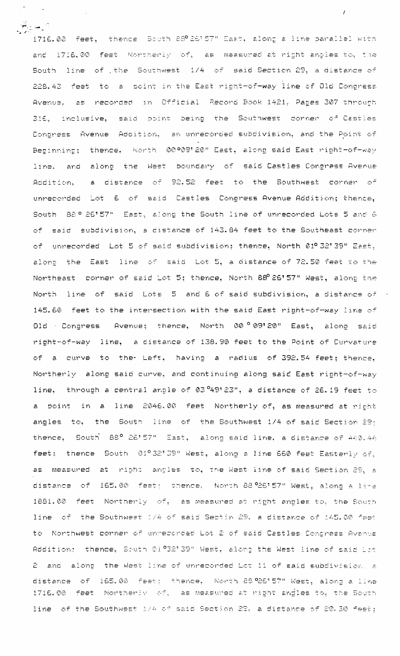1716.00 feet, thence South 88°26'57" East, along a line parallel with and 1716.00 feet Northerly of, as measured at right anoles to, the South line of the Southwest 1/4 of said-Section 29, a distance of 228.43 feet to a point in the East right-of-way line of Old Congress Avenue, as recorded in Official Record Book 1421, Pages 307 through said point being the Southwest corner of Castles 316. inclusive. Contress Avenue Addition, an unrecorded subdivision, and the Point of Beginning; thence, North 00009'20" East, along said East right-of-way and along the West boundary of said-Castles-Congress-Avenue line. a distance of 92.52 feet to the Southwest corner of Addition. unrecorded Lot 6 of said Castles Congress Avenue Addition; thence, South 82º 26'57" East, along the South line of unrecorded Lots 5 and 6 of said subdivision, a distance of 143.84 feet to the Southeast corner of unrecorded Lot 5 of said subdivision; thence, North 01º 32' 39" East, alons the East line of said Lot 5, a distance of 72.50 feet to the Northeast corner of said Lot 5; thence, North 88 26'57" West, along the North line of said Lots 5 and 6 of said subdivision, a distance of 145.60 feet to the intersection with the said East right-of-way line of Old Congress Avenue; thence, North 00°09'20" East, along said right-of-way line, a distance of 138.90 feet to the Point of Curvature of a curve to the Left, having a radius of 392.54 feet; thence. Northerly along said curve, and continuing along said East right-of-way line, through a central angle of 03 49'23", a distance of 26.19 feet to a point in a line 2046.00 feet Northerly of, as measured at richt angles to, the South line of the Southwest 1/4 of said Section 29; thence, South 88° 26'57" East, along said line, a distance of 440.44 feet: thence South 01º32'39" West, along a line 660 feet Easterly of. at right angles to, the West line of said Section 29, a as measured distance of 165.00 feet; thence, North 88.926'57" West, along a lire 1881.00 feet Northerly of, as measured at right angles to, the South line of the Southwest 1/4 of said Sectin 29. a distance of 145.00 feet to Northwest corner of unrecorded Lot 2 of said Castles Congress Avenue Addition: thence, South 21°32'39" West, along the West line of said Lot 2 and along the West line of unrecorded Lot 11 of said subdivision, a of 165.00 feat: thence, North 29°26'57" West, along a line distance 1716.00 feet Northerly of, as measured at right angles to, the South line of the Southwest 1/4 of said Section 28, a distance of 20.30 feet;

أراسن يناسخ

 $\mathcal{L}$